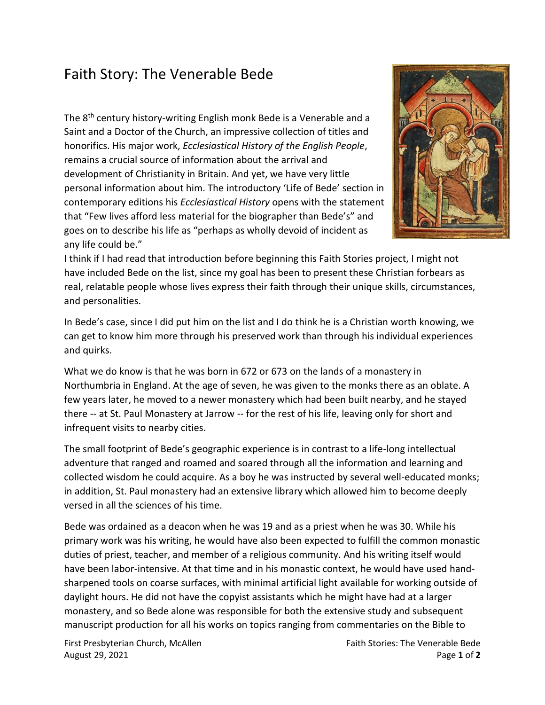## Faith Story: The Venerable Bede

The 8<sup>th</sup> century history-writing English monk Bede is a Venerable and a Saint and a Doctor of the Church, an impressive collection of titles and honorifics. His major work, *Ecclesiastical History of the English People*, remains a crucial source of information about the arrival and development of Christianity in Britain. And yet, we have very little personal information about him. The introductory 'Life of Bede' section in contemporary editions his *Ecclesiastical History* opens with the statement that "Few lives afford less material for the biographer than Bede's" and goes on to describe his life as "perhaps as wholly devoid of incident as any life could be."



I think if I had read that introduction before beginning this Faith Stories project, I might not have included Bede on the list, since my goal has been to present these Christian forbears as real, relatable people whose lives express their faith through their unique skills, circumstances, and personalities.

In Bede's case, since I did put him on the list and I do think he is a Christian worth knowing, we can get to know him more through his preserved work than through his individual experiences and quirks.

What we do know is that he was born in 672 or 673 on the lands of a monastery in Northumbria in England. At the age of seven, he was given to the monks there as an oblate. A few years later, he moved to a newer monastery which had been built nearby, and he stayed there -- at St. Paul Monastery at Jarrow -- for the rest of his life, leaving only for short and infrequent visits to nearby cities.

The small footprint of Bede's geographic experience is in contrast to a life-long intellectual adventure that ranged and roamed and soared through all the information and learning and collected wisdom he could acquire. As a boy he was instructed by several well-educated monks; in addition, St. Paul monastery had an extensive library which allowed him to become deeply versed in all the sciences of his time.

Bede was ordained as a deacon when he was 19 and as a priest when he was 30. While his primary work was his writing, he would have also been expected to fulfill the common monastic duties of priest, teacher, and member of a religious community. And his writing itself would have been labor-intensive. At that time and in his monastic context, he would have used handsharpened tools on coarse surfaces, with minimal artificial light available for working outside of daylight hours. He did not have the copyist assistants which he might have had at a larger monastery, and so Bede alone was responsible for both the extensive study and subsequent manuscript production for all his works on topics ranging from commentaries on the Bible to

August 29, 2021 Page **1** of **2**

First Presbyterian Church, McAllen Faith Stories: The Venerable Bede